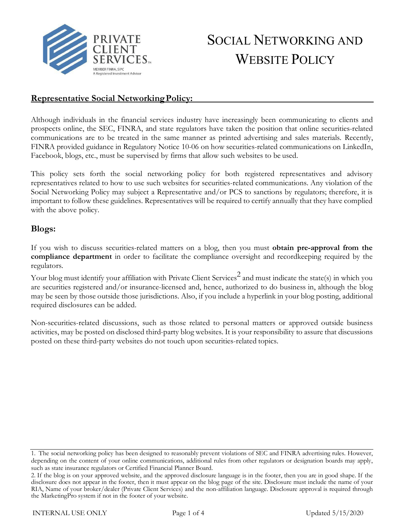

# SOCIAL NETWORKING AND WEBSITE POLICY

## **Representative Social NetworkingPolicy:**

Although individuals in the financial services industry have increasingly been communicating to clients and prospects online, the SEC, FINRA, and state regulators have taken the position that online securities-related communications are to be treated in the same manner as printed advertising and sales materials. Recently, FINRA provided guidance in Regulatory Notice 10-06 on how securities-related communications on LinkedIn, Facebook, blogs, etc., must be supervised by firms that allow such websites to be used.

This policy sets forth the social networking policy for both registered representatives and advisory representatives related to how to use such websites for securities-related communications. Any violation of the Social Networking Policy may subject a Representative and/or PCS to sanctions by regulators; therefore, it is important to follow these guidelines. Representatives will be required to certify annually that they have complied with the above policy.

## **Blogs:**

If you wish to discuss securities-related matters on a blog, then you must **obtain pre-approval from the compliance department** in order to facilitate the compliance oversight and recordkeeping required by the regulators.

Your blog must identify your affiliation with Private Client Services<sup>2</sup> and must indicate the state(s) in which you are securities registered and/or insurance-licensed and, hence, authorized to do business in, although the blog may be seen by those outside those jurisdictions. Also, if you include a hyperlink in your blog posting, additional required disclosures can be added.

Non-securities-related discussions, such as those related to personal matters or approved outside business activities, may be posted on disclosed third-party blog websites. It is your responsibility to assure that discussions posted on these third-party websites do not touch upon securities-related topics.

<sup>1.</sup> The social networking policy has been designed to reasonably prevent violations of SEC and FINRA advertising rules. However, depending on the content of your online communications, additional rules from other regulators or designation boards may apply, such as state insurance regulators or Certified Financial Planner Board.

<sup>2.</sup> If the blog is on your approved website, and the approved disclosure language is in the footer, then you are in good shape. If the disclosure does not appear in the footer, then it must appear on the blog page of the site. Disclosure must include the name of your RIA, Name of your broker/dealer (Private Client Services) and the non-affiliation language. Disclosure approval is required through the MarketingPro system if not in the footer of your website.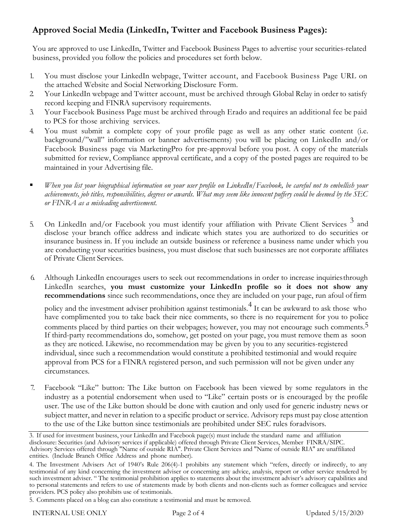## **Approved Social Media (LinkedIn, Twitter and Facebook Business Pages):**

You are approved to use LinkedIn, Twitter and Facebook Business Pages to advertise your securities-related business, provided you follow the policies and procedures set forth below.

- 1. You must disclose your LinkedIn webpage, Twitter account, and Facebook Business Page URL on the attached Website and Social Networking Disclosure Form.
- 2. Your LinkedIn webpage and Twitter account, must be archived through Global Relay in order to satisfy record keeping and FINRA supervisory requirements.
- 3. Your Facebook Business Page must be archived through Erado and requires an additional fee be paid to PCS for those archiving services.
- 4. You must submit a complete copy of your profile page as well as any other static content (i.e. background/"wall" information or banner advertisements) you will be placing on LinkedIn and/or Facebook Business page via MarketingPro for pre-approval before you post. A copy of the materials submitted for review, Compliance approval certificate, and a copy of the posted pages are required to be maintained in your Advertising file.
- *When you list your biographical information on your user profile on LinkedIn/Facebook, be careful not to embellish your*  achievements, job titles, responsibilities, degrees or awards. What may seem like innocent puffery could be deemed by the SEC *or FINRA as a misleading advertisement.*
- 5. On LinkedIn and/or Facebook you must identify your affiliation with Private Client Services<sup>3</sup> and disclose your branch office address and indicate which states you are authorized to do securities or insurance business in. If you include an outside business or reference a business name under which you are conducting your securities business, you must disclose that such businesses are not corporate affiliates of Private Client Services.
- 6. Although LinkedIn encourages users to seek out recommendations in order to increase inquiriesthrough LinkedIn searches, **you must customize your LinkedIn profile so it does not show any recommendations** since such recommendations, once they are included on your page, run afoul offirm

policy and the investment adviser prohibition against testimonials.4 It can be awkward to ask those who have complimented you to take back their nice comments, so there is no requirement for you to police comments placed by third parties on their webpages; however, you may not encourage such comments.<sup>5</sup> If third-party recommendations do, somehow, get posted on your page, you must remove them as soon as they are noticed. Likewise, no recommendation may be given by you to any securities-registered individual, since such a recommendation would constitute a prohibited testimonial and would require approval from PCS for a FINRA registered person, and such permission will not be given under any circumstances.

7. Facebook "Like" button: The Like button on Facebook has been viewed by some regulators in the industry as a potential endorsement when used to "Like" certain posts or is encouraged by the profile user. The use of the Like button should be done with caution and only used for generic industry news or subject matter, and never in relation to a specific product or service. Advisory reps must pay close attention to the use of the Like button since testimonials are prohibited under SEC rules foradvisors.

<sup>3.</sup> If used for investment business, your LinkedIn and Facebook page(s) must include the standard name and affiliation disclosure: Securities (and Advisory services if applicable) offered through Private Client Services, Member FINRA/SIPC. Advisory Services offered through "Name of outside RIA". Private Client Services and "Name of outside RIA" are unaffiliated entities. (Include Branch Office Address and phone number).

<sup>4.</sup> The Investment Advisers Act of 1940's Rule 206(4)-1 prohibits any statement which "refers, directly or indirectly, to any testimonial of any kind concerning the investment adviser or concerning any advice, analysis, report or other service rendered by such investment adviser. " The testimonial prohibition applies to statements about the investment adviser's advisory capabilities and to personal statements and refers to use of statements made by both clients and non-clients such as former colleagues and service providers. PCS policy also prohibits use of testimonials.

<sup>5.</sup> Comments placed on a blog can also constitute a testimonial and must be removed.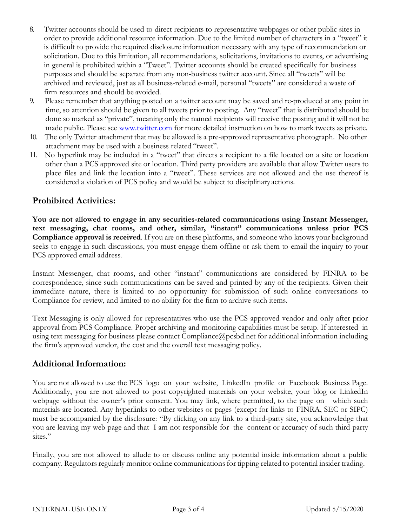- 8. Twitter accounts should be used to direct recipients to representative webpages or other public sites in order to provide additional resource information. Due to the limited number of characters in a "tweet" it is difficult to provide the required disclosure information necessary with any type of recommendation or solicitation. Due to this limitation, all recommendations, solicitations, invitations to events, or advertising in general is prohibited within a "Tweet". Twitter accounts should be created specifically for business purposes and should be separate from any non-business twitter account. Since all "tweets" will be archived and reviewed, just as all business-related e-mail, personal "tweets" are considered a waste of firm resources and should be avoided.
- 9. Please remember that anything posted on a twitter account may be saved and re-produced at any point in time, so attention should be given to all tweets prior to posting. Any "tweet" that is distributed should be done so marked as "private", meaning only the named recipients will receive the posting and it will not be made public. Please see [www.twitter.com](http://www.twitter.com/) for more detailed instruction on how to mark tweets as private.
- 10. The only Twitter attachment that may be allowed is a pre-approved representative photograph. No other attachment may be used with a business related "tweet".
- 11. No hyperlink may be included in a "tweet" that directs a recipient to a file located on a site or location other than a PCS approved site or location. Third party providers are available that allow Twitter users to place files and link the location into a "tweet". These services are not allowed and the use thereof is considered a violation of PCS policy and would be subject to disciplinary actions.

## **Prohibited Activities:**

**You are not allowed to engage in any securities-related communications using Instant Messenger, text messaging, chat rooms, and other, similar, "instant" communications unless prior PCS Compliance approval is received**. If you are on these platforms, and someone who knows your background seeks to engage in such discussions, you must engage them offline or ask them to email the inquiry to your PCS approved email address.

Instant Messenger, chat rooms, and other "instant" communications are considered by FINRA to be correspondence, since such communications can be saved and printed by any of the recipients. Given their immediate nature, there is limited to no opportunity for submission of such online conversations to Compliance for review, and limited to no ability for the firm to archive such items.

Text Messaging is only allowed for representatives who use the PCS approved vendor and only after prior approval from PCS Compliance. Proper archiving and monitoring capabilities must be setup. If interested in using text messaging for business please contact [Compliance@pcsbd.net](mailto:Compliance@pcsbd.net) for additional information including the firm's approved vendor, the cost and the overall text messaging policy.

#### **Additional Information:**

You are not allowed to use the PCS logo on your website, LinkedIn profile or Facebook Business Page. Additionally, you are not allowed to post copyrighted materials on your website, your blog or LinkedIn webpage without the owner's prior consent. You may link, where permitted, to the page on which such materials are located. Any hyperlinks to other websites or pages (except for links to FINRA, SEC or SIPC) must be accompanied by the disclosure: "By clicking on any link to a third-party site, you acknowledge that you are leaving my web page and that I am not responsible for the content or accuracy of such third-party sites."

Finally, you are not allowed to allude to or discuss online any potential inside information about a public company. Regulators regularly monitor online communications for tipping related to potential insider trading.